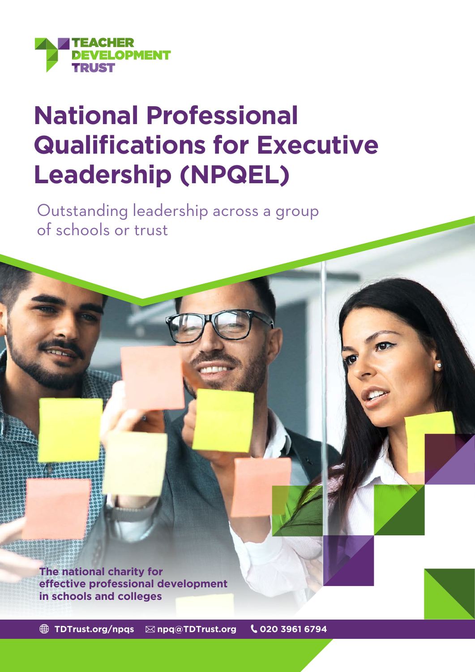

# **National Professional Qualifications for Executive Leadership (NPQEL)**

Outstanding leadership across a group of schools or trust

**The national charity for effective professional development in schools and colleges**

**[TDTrust.org/npqs](http://TDTrust.org/npqs) [npq@TDTrust.org](mailto:npq%40TDTrust.org?subject=) 020 3961 6794**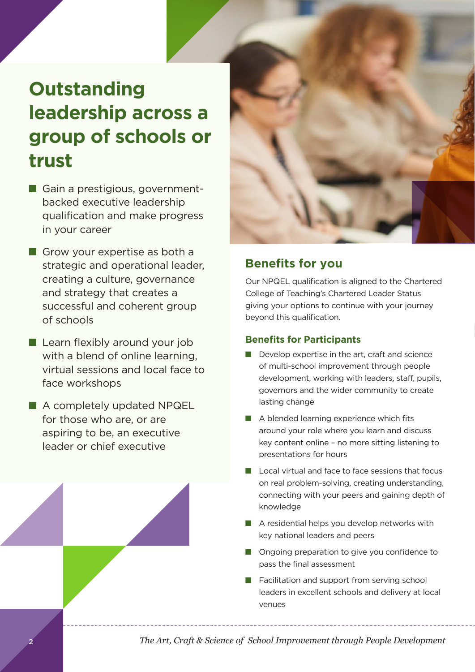# **Outstanding leadership across a group of schools or trust**

- Gain a prestigious, governmentbacked executive leadership qualification and make progress in your career
- $\blacksquare$  Grow your expertise as both a strategic and operational leader, creating a culture, governance and strategy that creates a successful and coherent group of schools
- $\blacksquare$  Learn flexibly around your job with a blend of online learning, virtual sessions and local face to face workshops
- A completely updated NPQEL for those who are, or are aspiring to be, an executive leader or chief executive



#### **Benefits for you**

Our NPQEL qualification is aligned to the Chartered College of Teaching's Chartered Leader Status giving your options to continue with your journey beyond this qualification.

#### **Benefits for Participants**

- $\blacksquare$  Develop expertise in the art, craft and science of multi-school improvement through people development, working with leaders, staff, pupils, governors and the wider community to create lasting change
- $\blacksquare$  A blended learning experience which fits around your role where you learn and discuss key content online – no more sitting listening to presentations for hours
- $\blacksquare$  Local virtual and face to face sessions that focus on real problem-solving, creating understanding, connecting with your peers and gaining depth of knowledge
- $\blacksquare$  A residential helps you develop networks with key national leaders and peers
- **n** Ongoing preparation to give you confidence to pass the final assessment
- Facilitation and support from serving school leaders in excellent schools and delivery at local venues

*The Art, Craft & Science of School Improvement through People Development*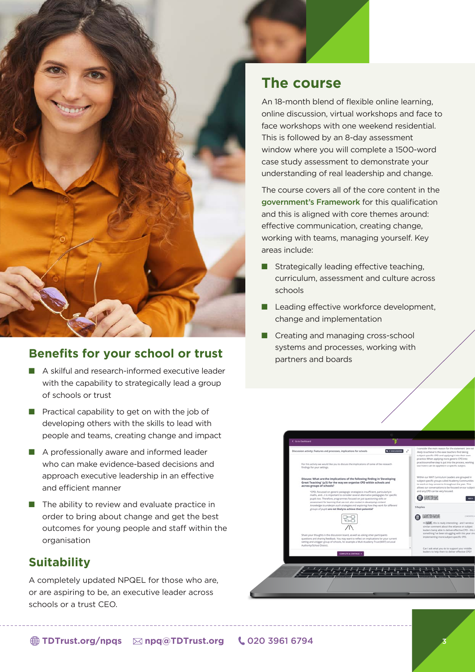

#### **Benefits for your school or trust**

- A skilful and research-informed executive leader with the capability to strategically lead a group of schools or trust
- $\blacksquare$  Practical capability to get on with the job of developing others with the skills to lead with people and teams, creating change and impact
- $\blacksquare$  A professionally aware and informed leader who can make evidence-based decisions and approach executive leadership in an effective and efficient manner
- $\blacksquare$  The ability to review and evaluate practice in order to bring about change and get the best outcomes for young people and staff within the organisation

#### **Suitability**

A completely updated NPQEL for those who are, or are aspiring to be, an executive leader across schools or a trust CEO.

## **The course**

An 18-month blend of flexible online learning, online discussion, virtual workshops and face to face workshops with one weekend residential. This is followed by an 8-day assessment window where you will complete a 1500-word case study assessment to demonstrate your understanding of real leadership and change.

The course covers all of the core content in the [government's Framework](https://assets.publishing.service.gov.uk/government/uploads/system/uploads/attachment_data/file/925506/NPQ_Executive_Leadership.pdf) for this qualification and this is aligned with core themes around: effective communication, creating change, working with teams, managing yourself. Key areas include:

- $\blacksquare$  Strategically leading effective teaching, curriculum, assessment and culture across schools
- **n** Leading effective workforce development, change and implementation
- Creating and managing cross-school systems and processes, working with partners and boards